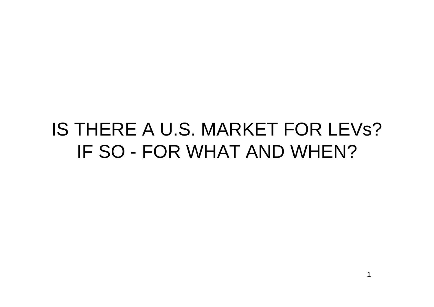# IS THERE A U.S. MARKET FORLEVs? IF SO - FOR WHAT AND WHEN?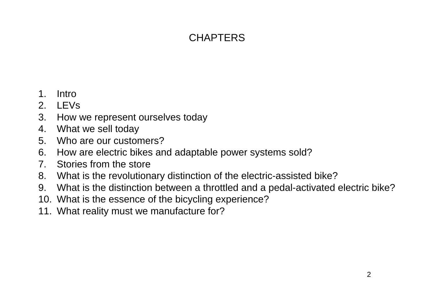# **CHAPTERS**

- 1.Intro
- $\mathcal{P}$ LEVs
- 3. How we represent ourselves today
- 4.What we sell today
- 5. Who are our customers?
- 6. How are electric bikes and adaptable power systems sold?
- 7. Stories from the store
- 8. What is the revolutionary distinction of the electric-assisted bike?
- 9. What is the distinction between a throttled and a pedal-activated electric bike?
- 10. What is the essence of the bicycling experience?
- 11. What reality must we manufacture for?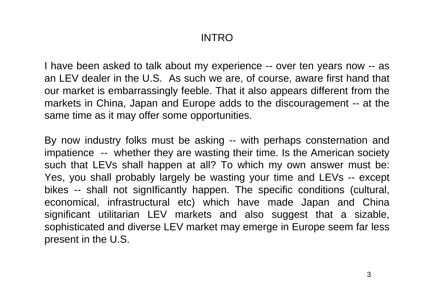#### INTRO

I have been asked to talk about my experience -- over ten years now -- as an LEV dealer in the U.S. As such we are, of course, aware first hand that our market is embarrassingly feeble. That it also appears different from the markets in China, Japan and Europe adds to the discouragement -- at the same time as it may offer some opportunities.

By now industry folks must be asking -- with perhaps consternation and impatience -- whether they are wasting their time. Is the American society such that LEVs shall happen at all? To which my own answer must be: Yes, you shall probably largely be wasting your time and LEVs -- except bikes -- shall not signIficantly happen. The specific conditions (cultural, economical, infrastructural etc) which have made Japan and China significant utilitarian LEV markets and also suggest that a sizable, sophisticated and diverse LEV market may emerge in Europe seem far less present in the U.S.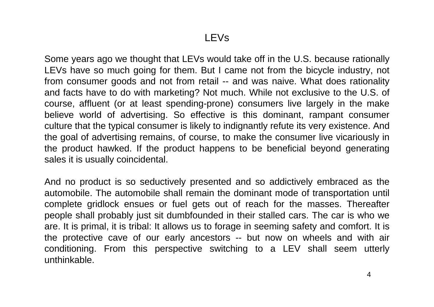#### LEVs

Some years ago we thought that LEVs would take off in the U.S. because rationally LEVs have so much going for them. But I came not from the bicycle industry, not from consumer goods and not from retail -- and was naive. What does rationality and facts have to do with marketing? Not much. While not exclusive to the U.S. of course, affluent (or at least spending-prone) consumers live largely in the make believe world of advertising. So effective is this dominant, rampant consumer culture that the typical consumer is likely to indignantly refute its very existence. And the goal of advertising remains, of course, to make the consumer live vicariously in the product hawked. If the product happens to be beneficial beyond generating sales it is usually coincidental.

And no product is so seductively presented and so addictively embraced as the automobile. The automobile shall remain the dominant mode of transportation until complete gridlock ensues or fuel gets out of reach for the masses. Thereafter people shall probably just sit dumbfounded in their stalled cars. The car is who we are. It is primal, it is tribal: It allows us to forage in seeming safety and comfort. It is the protective cave of our early ancestors -- but now on wheels and with air conditioning. From this perspective switching to a LEV shall seem utterly unthinkable.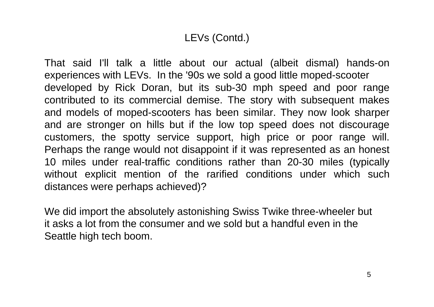# LEVs (Contd.)

That said I'll talk a little about our actual (albeit dismal) hands-on experiences with LEVs. In the '90s we sold a good little moped-scooter developed by Rick Doran, but its sub-30 mph speed and poor range contributed to its commercial demise. The story with subsequent makes and models of moped-scooters has been similar. They now look sharper and are stronger on hills but if the low top speed does not discourage customers, the spotty service support, high price or poor range will. Perhaps the range would not disappoint if it was represented as an honest 10 miles under real-traffic conditions rather than 20-30 miles (typically without explicit mention of the rarified conditions under which such distances were perhaps achieved)?

We did import the absolutely astonishing Swiss Twike three-wheeler but it asks a lot from the consumer and we sold but a handful even in theSeattle high tech boom.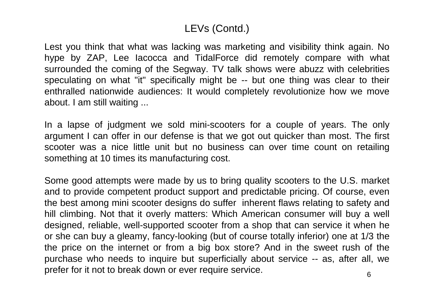### LEVs (Contd.)

Lest you think that what was lacking was marketing and visibility think again. No hype by ZAP, Lee Iacocca and TidalForce did remotely compare with what surrounded the coming of the Segway. TV talk shows were abuzz with celebrities speculating on what "it" specifically might be -- but one thing was clear to their enthralled nationwide audiences: It would completely revolutionize how we move about. I am still waiting ...

In a lapse of judgment we sold mini-scooters for a couple of years. The only argument I can offer in our defense is that we got out quicker than most. The first scooter was a nice little unit but no business can over time count on retailing something at 10 times its manufacturing cost.

Some good attempts were made by us to bring quality scooters to the U.S. market and to provide competent product support and predictable pricing. Of course, even the best among mini scooter designs do suffer inherent flaws relating to safety and hill climbing. Not that it overly matters: Which American consumer will buy a well designed, reliable, well-supported scooter from a shop that can service it when he or she can buy a gleamy, fancy-looking (but of course totally inferior) one at 1/3 the the price on the internet or from a big box store? And in the sweet rush of the purchase who needs to inquire but superficially about service -- as, after all, we prefer for it not to break down or ever require service.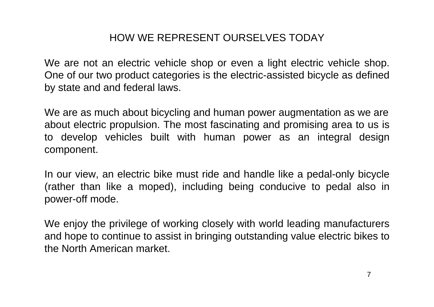# HOW WE REPRESENT OURSELVES TODAY

We are not an electric vehicle shop or even a light electric vehicle shop. One of our two product categories is the electric-assisted bicycle as defined by state and and federal laws.

We are as much about bicycling and human power augmentation as we are about electric propulsion. The most fascinating and promising area to us is to develop vehicles built with human power as an integral design component.

In our view, an electric bike must ride and handle like a pedal-only bicycle (rather than like a moped), including being conducive to pedal als o in power-off mode.

We enjoy the privilege of working closely with world leading manufacturers and hope to continue to assist in bringing outstanding value electric bikes to the North American market.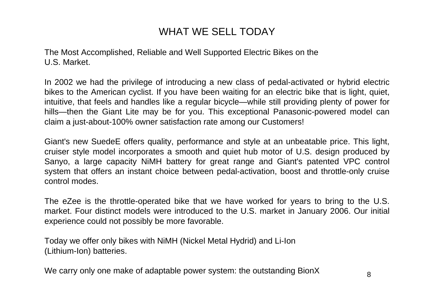### WHAT WE SELL TODAY

The Most Accomplished, Reliable and Well Supported Electric Bikes on the U.S. Market.

In 2002 we had the privilege of introducing a new class of pedal-activated or hybrid electric bikes to the American cyclist. If you have been waiting for an electric bike that is light, quiet, intuitive, that feels and handles like a regular bicycle—while still providing plenty of power for hills—then the Giant Lite may be for you. This exceptional Panasonic-powered model can claim a just-about-100% owner satisfaction rate among our Customers!

Giant's new SuedeE offers quality, performance and style at an unbeatable price. This light, cruiser style model incorporates a smooth and quiet hub motor of U.S. design produced by Sanyo, a large capacity NiMH battery for great range and Giant's patented VPC control system that offers an instant choice between pedal-activation, boost and throttle-only cruise control modes.

The eZee is the throttle-operated bike that we have worked for years to bring to the U.S. market. Four distinct models were introduced to the U.S. market in January 2006. Our initial experience could not possibly be more favorable.

Today we offer only bikes with NiMH (Nickel Metal Hydrid) and Li-Ion (Lithium-Ion) batteries.

We carry only one make of adaptable power system: the outstanding BionX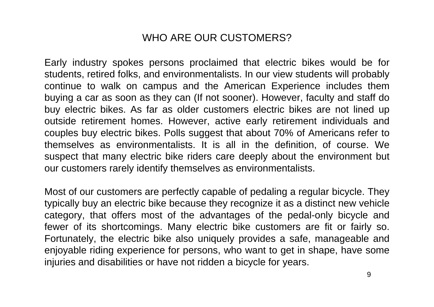#### WHO ARE OUR CUSTOMERS?

Early industry spokes per sons proclaimed t hat electric bikes would be for students, retired folks, and environmentalists. I n our view students will probably continue to walk on campus and the American E xperience includes them buying a car as soon as they can (I f not sooner). However, f aculty and staff do buy electric bikes. As far as older customers electric bik es ar e not lined up outside retirement homes. However, active early retirement individuals and couples buy electric bikes. Polls sugges t that about 70% of Americans refer to thems elves as environmentalists. It is all in the definition, of cours e. We suspect that many electric bike riders care deeply about the environment but our customers rarely identify themselves as environmentalists.

Most of our customers are perfectly capable of pedaling a regular bicycle. They typically buy an electric bike because they recognize it as a distinct new vehicle category, that offers most of the advantages of the pedal-only bicycle and fewer of its shortcomings. Many electric bike customers are fit or fairly so. Fortunately, t he electric bike also uniquely provides a safe, manageable and enjoyable riding experience for persons, who want to get in shape, have some injuries and disabilities or have not ridden a bicycle for years.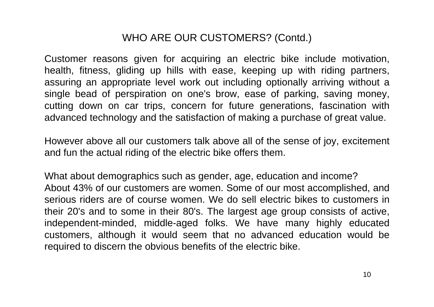### WHO ARE OUR CUSTOMERS? (Contd.)

Customer reasons given for acquiring an electric bike include motivation, health, fitness, gliding up hills with ease, keeping up with riding partners, assuring an appropriate level work out including optionally arriving without a single bead of perspiration on one's brow, ease of parking, saving money, cutting down on car trips, concern for future generations, fascination with advanced technology and the satisfaction of making a purchase of great value.

However above all our customers talk above all of the sense of joy, excitement and fun the actual riding of the electric bike offers them.

What about demographics such as gender, age, education and income? About 43% of our customers are women. Some of our most accomplished, and serious riders are of course women. We do sell electric bikes to customers in their 20's and to some in their 80's. The largest age group consists of active, independent-minded, middle-aged folks. We have many highly educated customers, although it would seem that no advanced education would be required to discern the obvious benefits of the electric bike.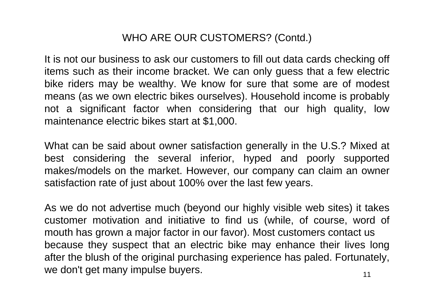### WHO ARE OUR CUSTOMERS? (Contd.)

It is not our business to ask our customers to fill out data cards checking off items such as their income bracket. We can only guess that a few electric bike riders may be wealthy. We know for sure that some are of modest means (as we own electric bikes ourselves). Household income is probably not a significant factor when considering that our high quality, low maintenance electric bikes start at \$1,000.

What can be said about owner satisfaction generally in the U.S.? Mixed at best considering the several inferior, hyped and poorly supported makes/models on the market. However, our company can claim an owner satisfaction rate of just about 100% over the last few years.

As we do not advertise much (beyond our highly visible web sites) it takes customer motivation and initiative to find us (while, of course, word of mouth has grown a major factor in our favor). Most customers contact us because they suspect that an electric bike may enhance their lives long after the blush of the original purchasing experience has paled. Fortunately, we don't get many impulse buyers.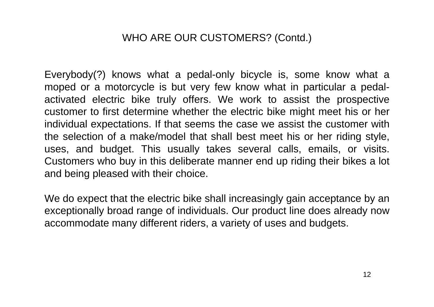#### WHO ARE OUR CUSTOMERS? (Contd.)

Everybody(?) knows what a pedal-only bicycle is, some know what a moped or a motorcycle is but very few know what in particular a pedalactivated electric bike truly offers. We work to assist the prospective customer to first determine whether the electric bike might meet his or her individual expectations. If that seems the case we assist the customer with the selection of a make/model that shall best meet his or her riding style, uses, and budget. This usually takes several calls, emails, or visits. Customers who buy in this deliberate manner end up riding their bikes a lot and being pleased with their choice.

We do expect that the electric bike shall increasingly gain acceptance by an exceptionally broad range of individuals. Our product line does already now accommodate many different riders, a variety of uses and budgets.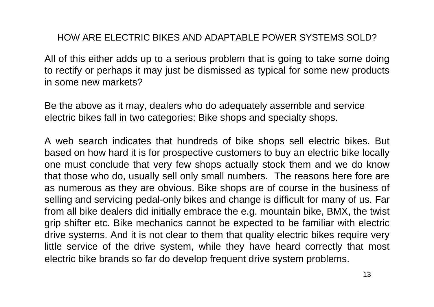#### HOW ARE ELECTRIC BIKES AND ADAPTABLE POWER SYSTEMS SOLD?

All of t his either adds up to a serious problem that is going to take some doing to rectify or perhaps it may just be dismissed as t ypical for some new products in some new markets?

Be the above as it may, dealers who do adequately assemble and service electric bikes f all in two categories: Bike shops and specialty shops.

A web search indicates that hundreds of bike shops sell electric bikes. But based on how hard it is for prospective customers to buy an electric bike locally one must conclude that very few shops actually stock them and we do know that those who do, usually sell only small numbers. The reasons here fore are as numerous as they are obvious. Bike shops are of course in the business of selling and servicing pedal-only bikes and change is difficult for many of us. Far from all bike dealers did initially embrace the e.g. mountain bike, BMX, the twist grip shifter etc. Bike mechanics cannot be expected to be familiar with electric drive systems. And it is not clear to them that quality electric bikes require very little service of the drive system, while they have heard correctly that most electric bike brands so far do develop frequent drive system problems.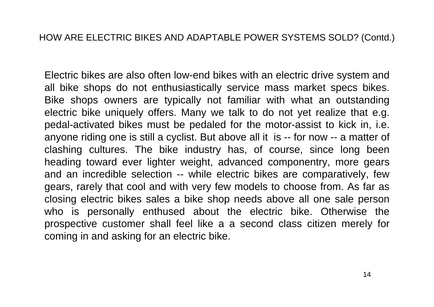Electric bikes are also often low-end bikes with an electric drive system and all bik e shops do not enthusiastically service mass market specs bikes. Bike shops owners are typically not familiar with what an outstanding electric bike uniquely offers. Many we talk to do not yet realize that e.g. pedal-activated bikes must be pedaled for the motor-assist to kick in, i.e. anyone riding one is still a cyclist. But above all it is -- for now -- a matter of clashing cultures. The bik e industry has, of course, since long been heading toward ever lighter weight, advanced componentry, more gears and an incredible selection -- while electric bikes are comparatively, few gears, rarely that cool and with very few models to choose from. As far as closing electric bikes sales a bike shop needs above all one sale person who is personally enthused about the electric bike. Otherwise the prospective customer shall feel like a a second class citizen merely fo r coming in and asking for an electric bike.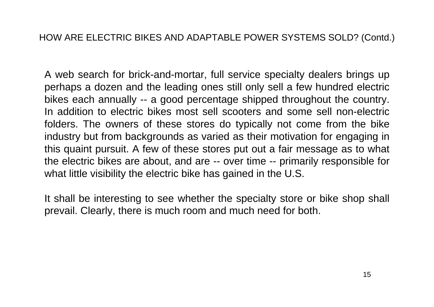A web search for brick-and-mortar, full service specialty dealers brings up perhaps a dozen and the leading ones still only sell a few hundred electric bik es each annually -- a good percentage shipped throughout the country. In addition to electric bikes most sell scooters and some sell non-electric folders. The owners of these stores do typic ally not come from the bike industry but from backgrounds as varied as their motivation for engaging in this quaint pursuit. A few of these stores put out a fair message as to what the electric bikes are about, and are -- over time -- primarily responsible for what little visibility the electric bike has gained in the U.S.

It shall be interesting to see whether the specialty store or bike shop shall prevail. Clearly, there is much room and much need for both.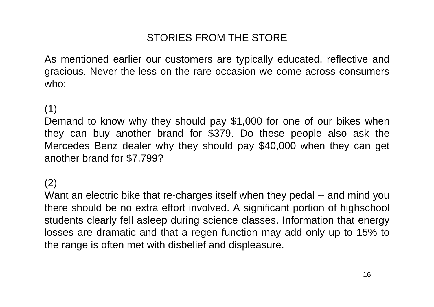# STORIES FROM THE STORE

As mentioned earlier our customers are typic ally educated, reflective and gracious. Never-the-less on the rare occasion we come across consumers who:

# (1)

Demand to know why they should pay \$1,000 for one of our bikes when they can buy another brand for \$379. Do these people also ask the Mercedes Benz dealer why they should pay \$40,000 when they can get another brand for \$7,799?

#### (2)

Want an electric bike that re-charges itself when they pedal -- and mind you there should be no extra effort involved. A significant portion of highschool students clearly fell asleep during science classes. Information that energy losses are dramatic and that a regen function may add only up to 15% to the range is often met with disbelief and dis pleasure.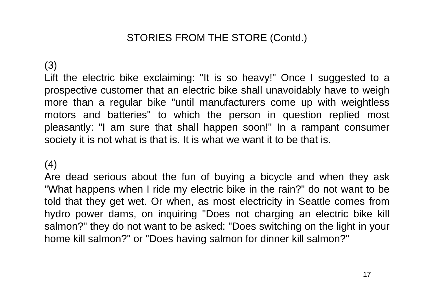### STORIES FROM THE STORE (Contd.)

#### (3)

Lift the electric bike exclaiming: "It is so heavy!" Once I suggested to a prospective customer that an electric bik e shall unavoidably have to weigh more than a regular bike "until manufacturers come up with weightless motors and batteries" to which the person in question replied most pleasantly: "I am sure that shall happen soon!" In a rampant consumer society it is not what is that is. It is what we want it to be that is.

#### (4)

Are dead serious about the fun of buying a bicycle and when they ask "What happens when I ride my electric bike in the rain?" do not want to be told that they get wet. Or when, as most electricity in Seattle comes from hydro power dams, on inquiring "Does not charging an electric bike kill salmon?" they do not want to be asked: "Does switching on the light in your home kill salmon?" or "Does having salmon for dinner kill salmon?"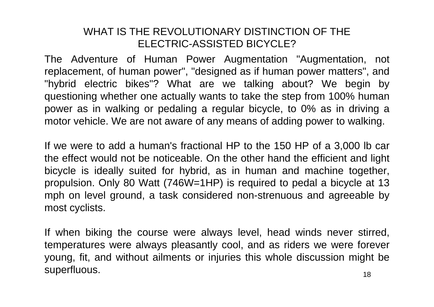#### WHAT IS THE REVOLUTIONARY DISTINCTION OF THE ELECTRIC-ASSISTED BICYCLE?

The Adventure of Human Power Augmentation "Augmentation, not replacement, of human power", "designed as if human power matters", and "hybrid electric bikes"? What are we talking about? We begin by questioning whether one actually wants to take the step from 100% human power as in walking or pedaling a regular bicycle, to 0% as in driving a motor vehicle. We are not aware of any means of adding power to walking.

If we were to add a human's fractional HP to the 150 HP of a 3,000 lb car the effect would not be noticeable. On the other hand the efficient and light bicycle is ideally suited for hybrid, as in human and machine together, propulsion. Only 80 Watt (746W=1HP) is required to pedal a bicycle at 13 mph on level ground, a task considered non-strenuous and agreeable by most cyclists.

If when biking the course were always level, head winds never stirred, temperatures were always pleasantly cool, and as riders we were forever young, fit, and without ailments or injuries this whole discussion might be superfluous.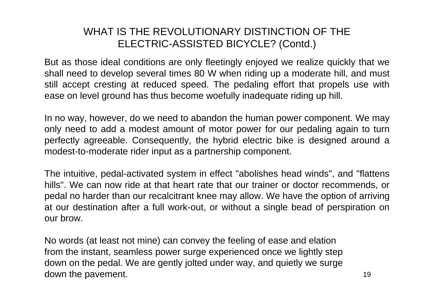#### WHAT IS THE REVOLUTIONARY DISTINCTION OF THE ELECTRIC-ASSISTED BICYCLE? (Contd.)

But as those ideal conditions are only fleetingly enjoyed we realize quickly that we shall need to develop several times 80 W when riding up a moderate hill, and must still accept cresting at reduced speed. The pedaling effort that propels use with ease on level ground has thus become woefully inadequate riding up hill.

In no way, however, do we need to abandon the human power component. We may only need to add a modest amount of motor power for our pedaling again to turn perfectly agreeable. Consequently, the hybrid electric bike is designed around a modest-to-moderate rider input as a partnership component.

The intuitive, pedal-activated system in effect "abolishes head winds", and "flattens hills". We can now ride at that heart rate that our trainer or doctor recommends, or pedal no harder than our recalcitrant knee may allow. We have the option of arriving at our destination after a full work-out, or without a single bead of perspiration on our brow.

No words (at least not mine) can convey the feeling of ease and elation from the instant, seamless power surge experienced once we lightly step down on the pedal. We are gently jolted under way, and quietly we surge down the pavement.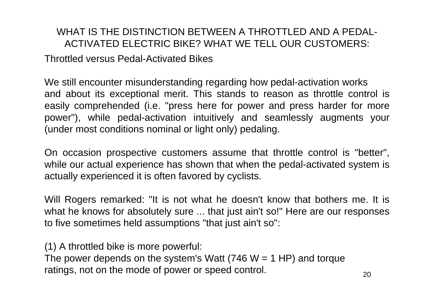#### WHAT IS THE DISTINCTION BETWEEN A THROTTLED AND A PEDAL-ACTIVATED ELECTRIC BIKE? WHAT WE TELL OUR CUSTOMERS:

Throttled versus Pedal-Activated Bikes

We still encounter misunderstanding regarding how pedal-activation works and about its exceptional merit. This stands to reason as throttle control is easily comprehended (i.e. "press here for power and press harder for more power"), while pedal-activation intuitively and seamlessly augments your (under most conditions nominal or light only) pedaling.

On occasion prospective customers assume that throttle control is "better", while our actual experience has shown that when the pedal-activated system is actually experienc ed it is often favor ed by cyclists.

Will Rogers remarked: "It is not what he doesn't know that bothers me. It is what he knows for absolutely sure ... that just ain't so!" Here are our responses to five sometimes held assumptions "that just ain't so":

(1) A throttled bike is more powerful: The power depends on the system's Watt  $(746 W = 1 H)$  and torque ratings, not on the mode of power or speed control.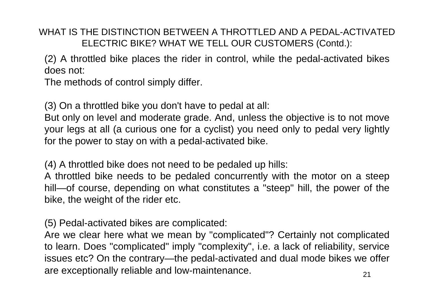WHAT IS THE DISTINCTION BETWEEN A THROTTI ED AND A PEDAL-ACTIVATED ELECTRIC BIKE? WHAT WE TELL OUR CUSTOMERS (Contd.):

(2) A t hrottled bike places the rider in control, while the pedal-activated bikes does not:

The methods of control simply differ.

(3) On a throttled bike you don't have to pedal at all:

But only on level and moderate grade. And, unless t he objective is to not move your legs at all (a curious one for a cyclist) you need only to pedal very lightly for the power to stay on with a pedal-activated bike.

(4) A t hrottled bike does not need to be pedaled up hills:

A throttled bike needs to be pedaled concurrently with the motor on a steep hill—of course, depending on what constitutes a "steep" hill, the power of the bike, the weight of the rider etc.

(5) Pedal-activated bikes are complicated:

Are we clear here what we mean by "complicated"? Certainly not complicated to learn. Does "complicated" imply "complexity", i.e. a lack of reliability, service issues etc? On the contrary—the pedal-activated and dual mode bikes we offer are exceptionally reliable and low-maintenance.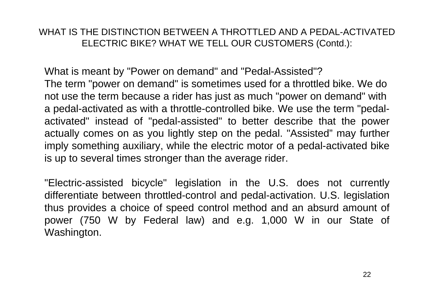#### WHAT IS THE DISTINCTION BETWEEN A THROTTLED AND A PEDAL-ACTIVATED ELECTRIC BIKE? WHAT WE TELL OUR CUSTOMERS (Contd.):

What is meant by "Power on demand" and "Pedal-Assisted"? The term "power on demand" is sometimes used for a throttled bike. We do not use the term because a rider has just as much "power on d emand" with a pedal-activated as with a throttle-controlled bik e. We use the term "pedalactivated" instead of "pedal-assisted" to better describe that the power actually comes on as you lightly step on the pedal. "Assisted" may further imply something auxiliary, while the electric motor o f a pedal-activated bike is up to several times stronger than the average rider.

"Electric-assisted bicycle" legislation in the U.S. does not currently differentiate between throttled-control and pedal-activation. U.S. legislation thus provides a choic e of speed control method and an absurd amount of power (750 W by Federal law) and e.g. 1,000 W in our State of Washington.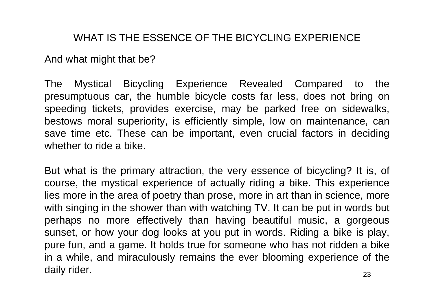#### WHAT IS THE ESSENCE OF THE BICYCLING EXPERIENCE

And what might that be?

The Mystical Bicycling Experience Revealed Compared to the presumptuous car, the humble bicycle costs far less, does not bring on speeding tickets, provides exercise, may be parked free on sidewalks, bestows moral superiority, is efficiently simple, low on maintenance, can save time etc. These can be important, even crucial factors in deciding whether to ride a bike.

But what is the primary attraction, the very essence of bicycling? It is, of course, the mystical experience of actually riding a bike. This experience lies more in the area of poetry than prose, more in art than in science, more with singing in the shower than with watching TV. It can be put in words but perhaps no more effectively than having beautiful music, a gorgeous sunset, or how your dog looks at you put in words. Riding a bike is play, pure fun, and a game. It holds true for someone who has not ridden a bike in a while, and miraculously remains the ever blooming experience of the daily rider.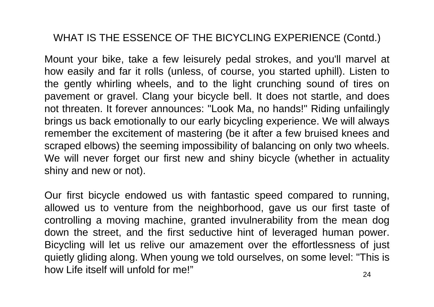# WHAT IS THE ESSENCE OF THE BICYCLING EXPERIENCE (Contd.)

Mount your bike, take a few leisurely pedal strokes, and you'll marvel at how easily and far it rolls (unless, of course, you started uphill). Listen to the gently whirling wheels, and to the light crunching sound of tires on pavement or gravel. Clang your bicycle bell. It does not startle, and does not threaten. It forever announces: "Look Ma, no hands!" Riding unfailingly brings us back emotionally to our early bicycling experience. We will always remember the excitement of mastering (be it after a few bruised knees and scraped elbows) the seeming impossibility of balancing on only two wheels. We will never forget our first new and shiny bicycle (whether in actuality shiny and new or not).

Our first bicycle endowed us with fantastic speed compared to running, allowed us to venture from the neighborhood, gave us our first taste of controlling a moving machine, granted invulnerability from the mean dog down the street, and the first seductive hint of leveraged human power. Bicycling will let us relive our amazement over the effortlessness of just quietly gliding along. When young we told ourselves, on some level: "This is how Life itself will unfold for me!"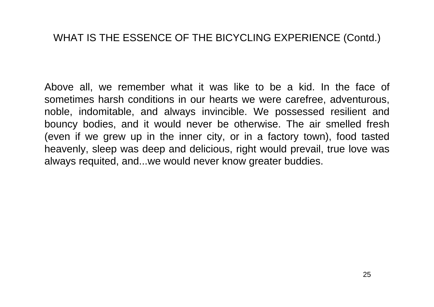#### WHAT IS THE ESSENCE OF THE BICYCLING EXPERIENCE (Contd.)

Above all, we remember what it was like to be a kid. In the face of sometimes harsh conditions in our hearts we were carefree, adventurous, noble, indomitable, and always invincible. We possessed resilient and bouncy bodies, and it would never be otherwise. The air smelled fresh (even if we grew up in the inner city, or in a factory town), food tasted heavenly, sleep was deep and delicious, right would prevail, true love was always requited, and...we would never know greater buddies.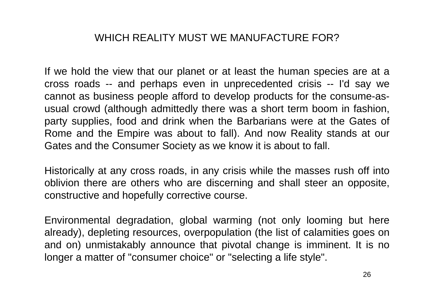#### WHICH REALITY MUST WE MANUFACTURE FOR?

If we hold the view that our planet or at least the human species are at a cross roads -- and perhaps even in unprecedented crisis -- I'd say we cannot as business people afford to develop products for the consume-asusual crowd (although admittedly there was a short term boom in fashion, party supplies, food and drink when the Barbarians were at the Gates of Rome and the Empire was about to fall). And now Reality stands at our Gates and the Consumer Society as we know it is about to fall.

Historically at any cross roads, in any crisis while the masses rush off into oblivion there are others who are discerning and shall steer an opposite, constructive and hopefully corrective course.

Environmental degradation, global warming (not only looming but here already), depleting resources, overpopulation (the list of calamities goes on and on) unmistakably announce that pivotal change is imminent. It is no longer a matter of "consumer choi ce" or "selecting a life style".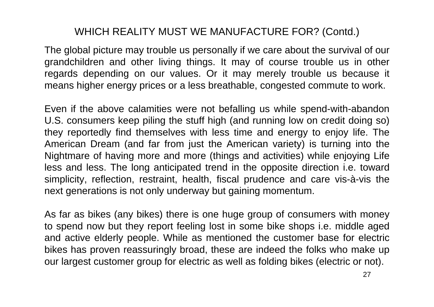The global picture may trouble us personally if we care about the survival of our grandchildren and other living things. It may of course trouble us in other regards depending on our values. Or it may merely trouble us because it means higher energy prices or a less breathable, congested commute to work.

Even if the above calamities were not befalling us while spend-with-abandon U.S. consumers keep piling the stuff high (and running low on credit doing so) they reportedly find themselves with less time and energy to enjoy life. The American Dream (and far from just the American variety) is turning into the Nightmare of having more and more (things and activities) while enjoying Life less and less. The long anticipated trend in the opposite direction i.e. toward simplicity, reflection, restraint, health, fiscal prudence and care vis-à-vis the next generations is not only underway but gaining momentum.

As far as bikes (any bikes) there is one huge group of consumers with money to spend now but they report feeling lost in some bike shops i.e. middle aged and active elderly people. While as mentioned the customer base for electri c bikes has proven reassuringly broad, these are indeed the folks who make up our lar gest customer group for electric as well as folding bikes (electric or not).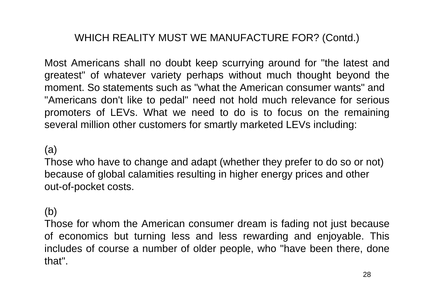Most Americans shall no doubt keep scurrying around for "the latest and greatest" of whatever variety perhaps without much thought beyond the moment. So statements such as "what the American consumer wants" and "Americans don't like to pedal" need not hold much relevance for serious promoters of LEVs. What we need to do is to focus on the remaining several million o ther custo mers for smartly marke ted LEVs including:

#### (a)

Those who have to change and adapt (whether they prefer to do so or not) because of global calamities resulting in higher energy prices and other out-of-pocket costs.

#### (b)

Those for whom the American consumer dream is fading not just because of economics but turning less and less rewarding and enjoyable. This includes of course a number of older people, who "have been there, done that".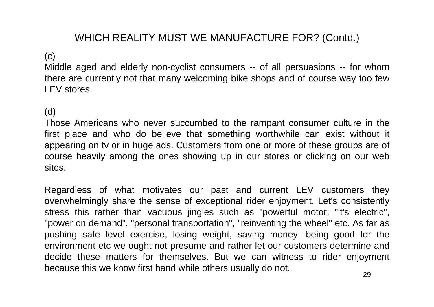#### (c)

Middle aged and elderly non-cyclist consumers -- of all persuasions -- for whom there are currently not that many welcoming bike shops and of course way too few LEV stores.

#### (d)

Those Americans who never succumbed to the rampant consumer culture in the first place and who do believe that something worthwhile can exist without it appearing on tv or in huge ads. Customers from one or more of these groups are of course heavily among the ones showing up in our stores or clicking on our web sites.

Regardless of what motivates our past and current LEV customers they overwhelmingly share the sense of exceptional rider enjoyment. Let's consistently stress this rather than vacuous jingles such as "powerful motor, "it's electric", "power on demand", "personal transportation", "reinventing the wheel" etc. As far as pushing safe level exercise, losing weight, saving money, being good for the environment etc we ought not presume and rather let our customers determine and decide these matters for themselves. But we can witness to rider enjoyment because this we know first hand while others usually do not.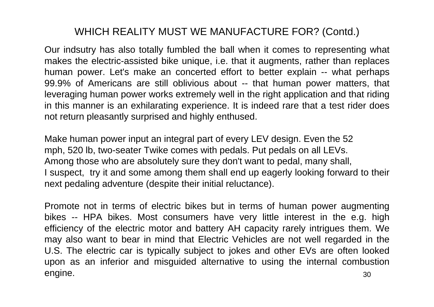Our indsutry has also totally fumbled the ball when it comes to representing what makes the electric-assisted bike unique, i.e. that it augments, rather than replaces human power. Let's make an concerted effort to better explain -- what perhaps 99.9% of Americans are still oblivious about -- that human power matters, that leveraging human power works extremely well in the right application and that riding in this manner is an exhilarating experience. It is indeed rare that a test rider does not return pleasantly surprised and highly enthused.

Make human power input an integral part of every LEV design. Even the 52 mph, 520 lb, two-seater Twike comes with pedals. Put pedals on all LEVs. Among those who are absolutely sure they don't want to pedal, many shall, I suspect, try it and some among them shall end up eagerly looking forward to their next pedaling adventure (despite their initial reluctance).

30Promote not in terms of electric bikes but in terms of human power augmenting bikes -- HPA bikes. Most consumers have very little interest in the e.g. high efficiency of the electric motor and battery AH capacity rarely intrigues them. We may also want to bear in mind that Electric Vehicles are not well regarded in the U.S. The electric car is typically subject to jokes and other EVs are often looked upon as an inferior and misguided alternative to using the internal combustion engine.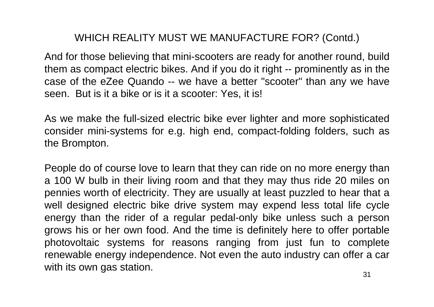And for those believing that mini-scooters are ready for another round, build them as compact electric bikes. And if you do it right -- prominently as in the case of the eZee Quando -- we have a better "scooter" than any we have seen. But is it a bike or is it a scooter: Yes, it is!

As we make the full-sized electric bike ever lighter and more sophisticated consider mini-systems for e.g. high end, compact-folding folders, such as the Brompton.

People do of course love to learn that they can ride on no more energy than a 100 W bulb in their living room and that they may thus ride 20 miles on pennies worth of electricity. They are usually at least puzzled to hear that a well designed electric bike drive system may expend less total life cycle energy than the rider of a regular pedal-only bike unless such a person grows his or her own food. And the time is definitely here to offer portable photovoltaic systems for reasons ranging from just fun to complete renewable energy independence. Not even the auto industry can offer a car with its own gas station.